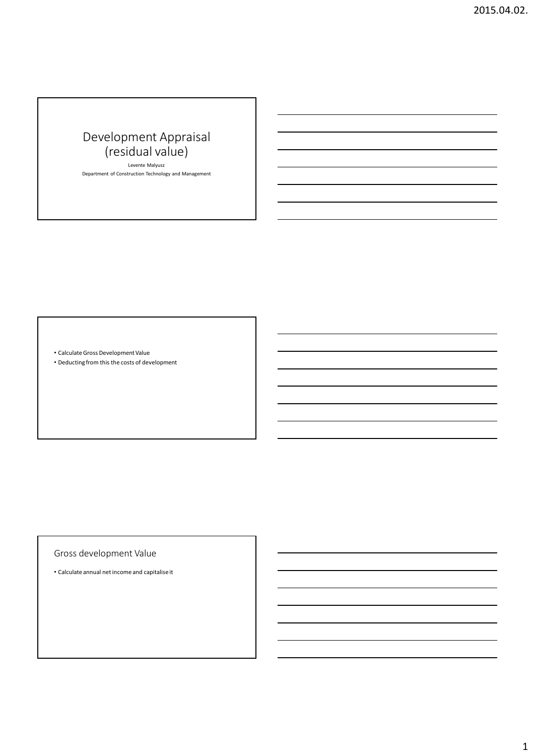# Development Appraisal (residual value)

Levente Malyusz Department of Construction Technology and Management

• CalculateGross Development Value

• Deducting from this the costs of development

Gross development Value

• Calculate annual net income and capitalise it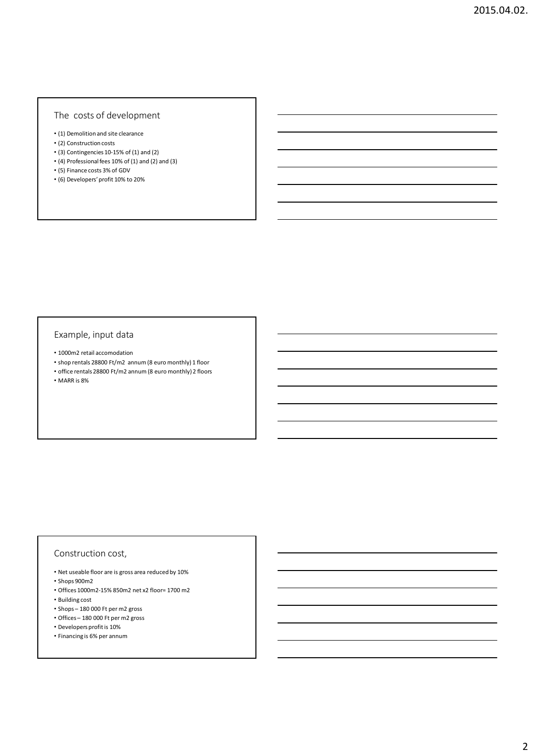# The costs of development

- (1) Demolition and site clearance
- (2) Construction costs
- $\cdot$  (3) Contingencies 10-15% of (1) and (2)
- (4) Professional fees 10% of (1) and (2) and (3)
- (5) Finance costs 3% of GDV
- (6) Developers' profit 10% to 20%

#### Example, input data

- 1000m2 retail accomodation
- shop rentals 28800 Ft/m2 annum (8 euro monthly) 1 floor
- office rentals 28800 Ft/m2 annum (8 euro monthly) 2 floors

• MARR is 8%

#### Construction cost,

- Net useable floor are is gross area reduced by 10%
- Shops 900m2
- Offices 1000m2-15% 850m2 net x2 floor= 1700 m2
- Building cost
- Shops 180 000 Ft per m2 gross
- Offices 180 000 Ft per m2 gross
- Developers profit is 10%
- Financing is 6% per annum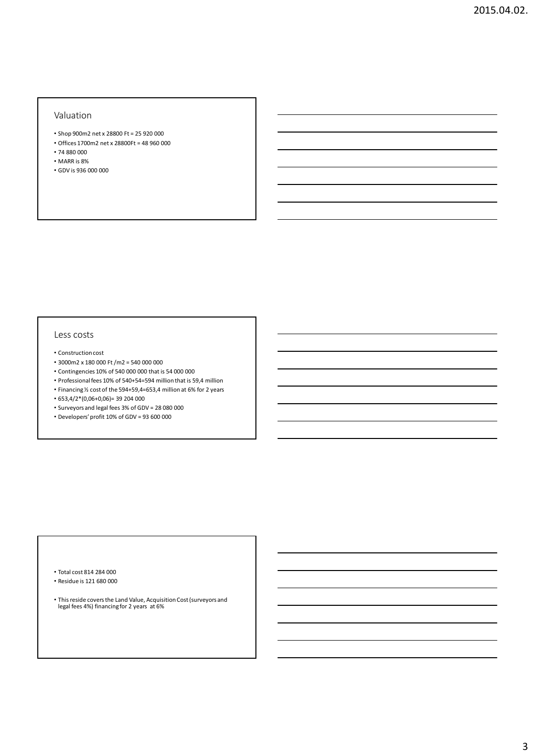#### Valuation

- Shop 900m2 net x 28800 Ft = 25 920 000
- Offices 1700m2 net x 28800Ft = 48 960 000 • 74 880 000
- 
- MARR is 8%
- GDV is 936 000 000

#### Less costs

- Construction cost
- 3000m2 x 180 000 Ft /m2 = 540 000 000
- Contingencies 10% of 540 000 000 that is 54 000 000
- Professional fees 10% of 540+54=594 million that is 59,4 million
- Financing ½ cost of the 594+59,4=653,4 million at 6% for 2 years
- 653,4/2\*(0,06+0,06)= 39 204 000
- Surveyors and legal fees 3% of GDV = 28 080 000
- Developers' profit 10% of GDV = 93 600 000

- Total cost 814 284 000
- Residue is 121 680 000
- This reside covers the Land Value, Acquisition Cost (surveyors and legal fees 4%) financing for 2 years at 6%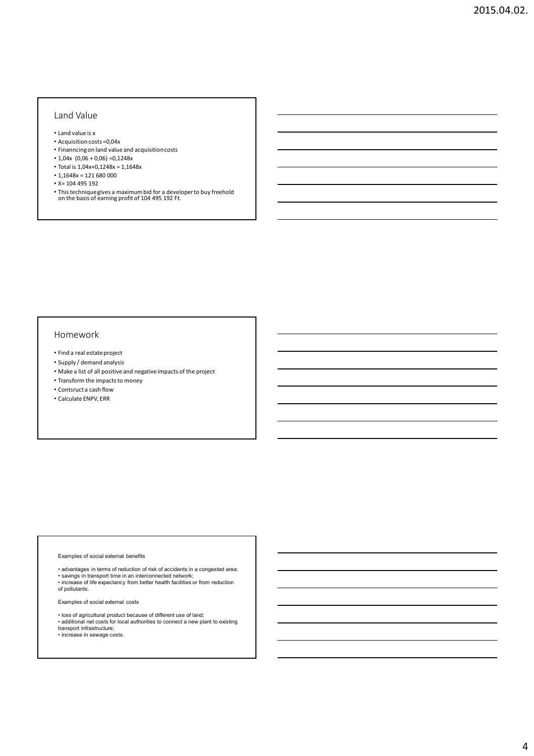## Land Value

- Land value is x
- Acquisition costs =0,04x
- Finanncing on land value and acquisition costs
- $1,04x$  (0,06 + 0,06) = 0,1248x
- Total is 1,04x+0,1248x = 1,1648x
- $1,1648x = 121680000$
- X= 104 495 192
- This technique gives a maximum bid for a developer to buy freehold on the basis of earning profit of 104 495 192 Ft.

#### Homework

- Find a real estate project
- Supply / demand analysis
- Make a list of all positive and negative impacts of the project
- Transform the impacts to money
- Contsruct a cash flow
- Calculate ENPV, ERR

#### Examples of social external benefits

- advantages in terms of reduction of risk of accidents in a congested area;
- savings in transport time in an interconnected network; increase of life expectancy from better health facilities or from reduction
- of pollutants.

Examples of social external costs

- 
- loss of agricultural product because of different use of land; additional net costs for local authorities to connect a new plant to existing transport infrastructure;
- increase in sewage costs.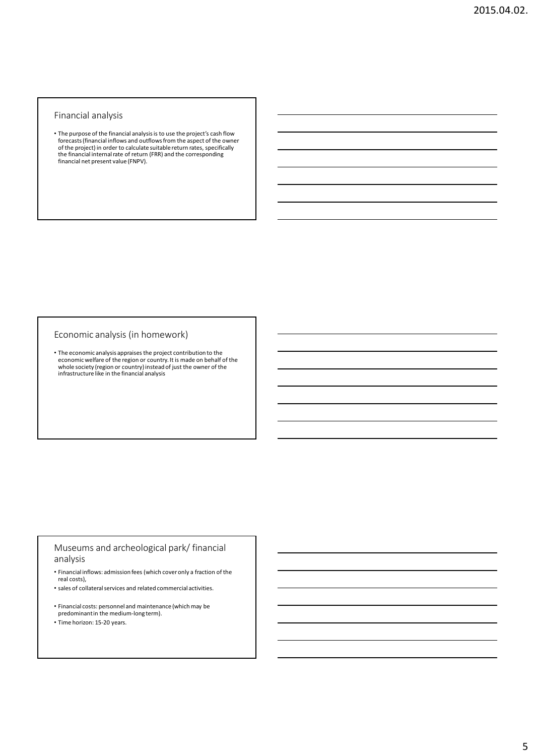#### Financial analysis

• The purpose of the financial analysis is to use the project's cash flow forecasts (financial inflows and outflows from the aspect of the owner of the project) in order to calculate suitable return rates, specifically the financial internal rate of return (FRR) and the corresponding financial net present value (FNPV).

#### Economic analysis (in homework)

• The economic analysis appraises the project contribution to the economic welfare of the region or country. It is made on behalf of the whole society (region or country) instead of just the owner of the infrastructure li

# Museums and archeological park/ financial analysis

- Financial inflows: admission fees (which cover only a fraction of the real costs),
- sales of collateral services and related commercial activities.
- Financial costs: personnel and maintenance (which may be predominant in the medium-long term).
- Time horizon: 15-20 years.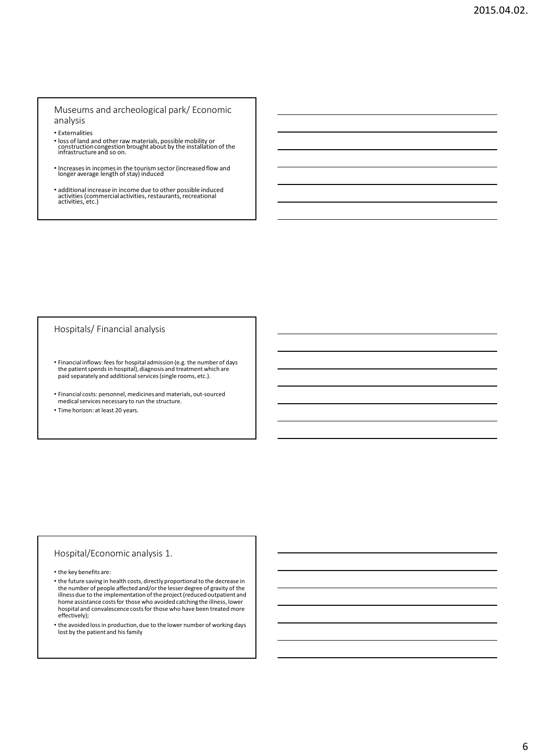Museums and archeological park/ Economic analysis

• Externalities

- loss of land and other raw materials, possible mobility or construction congestion brought about by the installation of the infrastructure and so on.
- Increases in incomes in the tourism sector (increased flow and longer average length of stay) induced
- additional increase in income due to other possible induced activities (commercial activities, restaurants, recreational activities, etc.)

#### Hospitals/ Financial analysis

- Financial inflows: fees for hospital admission (e.g. the number of days the patientspends in hospital), diagnosis and treatment which are paid separately and additional services (single rooms, etc.).
- Financial costs: personnel, medicinesand materials, out-sourced medical services necessary to run the structure.
- Time horizon: at least 20 years.

#### Hospital/Economic analysis 1.

• the key benefits are:

• the future saving in health costs, directly proportional to the decrease in the number of people affected and/or the lesser degree of gravity of the illness due to the implementation of the project (reduced outpatient and home assistance costs for those who avoided catching the illness, lower hospital and convalescence costs for those who have been treated more effectively);

• the avoided loss in production, due to the lower number of working days lost by the patient and his family